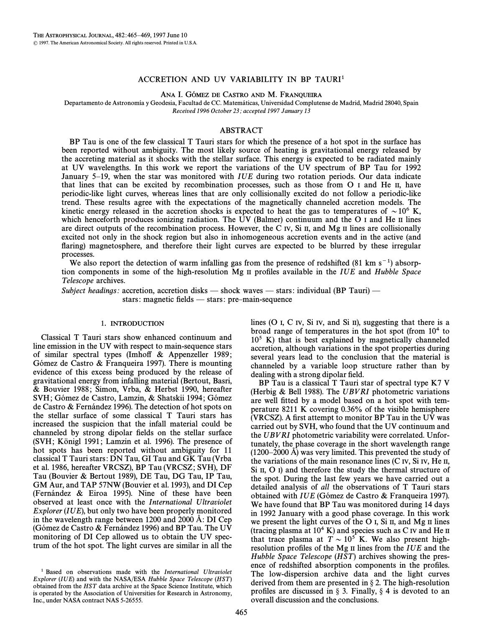## ACCRETION AND UV VARIABILITY IN BP TAURI<sup>1</sup>

ANA I. GÓMEZ DE CASTRO AND M. FRANQUEIRA

Departamento de Astronomía y Geodesia, Facultad de CC. Matemáticas, Universidad Complutense de Madrid, Madrid 28040, Spain Received 1996 October 23; accepted 1997 January 13

## ABSTRACT

BP Tau is one of the few classical T Tauri stars for which the presence of a hot spot in the surface has been reported without ambiguity. The most likely source of heating is gravitational energy released by the accreting material as it shocks with the stellar surface. This energy is expected to be radiated mainly at UV wavelengths. In this work we report the variations of the UV spectrum of BP Tau for 1992 January  $5-19$ , when the star was monitored with IUE during two rotation periods. Our data indicate that lines that can be excited by recombination processes, such as those from O I and He II, have periodic-like light curves, whereas lines that are only collisionally excited do not follow a periodic-like trend. These results agree with the expectations of the magnetically channeled accretion models. The kinetic energy released in the accretion shocks is expected to heat the gas to temperatures of  $\sim 10^6$  K, which henceforth produces ionizing radiation. The UV (Balmer) continuum and the  $O$  I and He II lines are direct outputs of the recombination process. However, the C IV, Si II, and Mg II lines are collisionally excited not only in the shock region but also in inhomogeneous accretion events and in the active (and flaring) magnetosphere, and therefore their light curves are expected to be blurred by these irregular processes.

We also report the detection of warm infalling gas from the presence of redshifted (81 km s<sup>-1</sup>) absorption components in some of the high-resolution  $Mg$  II profiles available in the *IUE* and *Hubble Space* Telescope archives.

Subject headings: accretion, accretion disks — shock waves — stars: individual (BP Tauri) stars: magnetic fields — stars: pre-main-sequence

#### 1. INTRODUCTION

Classical T Tauri stars show enhanced continuum and line emission in the UV with respect to main-sequence stars of similar spectral types (Imhoff  $\&$  Appenzeller 1989; Gómez de Castro & Franqueira 1997). There is mounting evidence of this excess being produced by the release of gravitational energy from infalling material (Bertout, Basri, & Bouvier 1988; Simon, Vrba, & Herbst 1990, hereafter SVH; Gómez de Castro, Lamzin, & Shatskii 1994; Gómez de Castro & Fernández 1996). The detection of hot spots on the stellar surface of some classical T Tauri stars has increased the suspicion that the infall material could be channeled by strong dipolar fields on the stellar surface (SVH; Königl 1991; Lamzin et al. 1996). The presence of hot spots has been reported without ambiguity for 11 classical T Tauri stars: DN Tau, GI Tau and GK Tau (Vrba et al. 1986, hereafter VRCSZ), BP Tau (VRCSZ; SVH), DF Tau (Bouvier & Bertout 1989), DE Tau, DG Tau, IP Tau, GM Aur, and TAP 57NW (Bouvier et al. 1993), and DI Cep (Fernández  $\&$  Eiroa 1995). Nine of these have been observed at least once with the International Ultraviolet Explorer (IUE), but only two have been properly monitored in the wavelength range between  $1200$  and  $2000 \text{ Å}$ : DI Cep (Gómez de Castro & Fernández 1996) and BP Tau. The UV monitoring of DI Cep allowed us to obtain the UV spectrum of the hot spot. The light curves are similar in all the lines (O I, C IV, Si IV, and Si II), suggesting that there is a broad range of temperatures in the hot spot (from  $10<sup>4</sup>$  to  $10<sup>5</sup>$  K) that is best explained by magnetically channeled accretion, although variations in the spot properties during several years lead to the conclusion that the material is channeled by a variable loop structure rather than by dealing with a strong dipolar field.

BP Tau is a classical T Tauri star of spectral type K7 V (Herbig & Bell 1988). The  $UBVRI$  photometric variations are well fitted by a model based on a hot spot with temperature 8211 K covering 0.36% of the visible hemisphere (VRCSZ). A first attempt to monitor BP Tau in the UV was carried out by SVH, who found that the UV continuum and the UBV RI photometric variability were correlated. Unfortunately, the phase coverage in the short wavelength range  $(1200–2000 \text{ Å})$  was very limited. This prevented the study of the variations of the main resonance lines  $(C<sub>IV</sub>, Si<sub>IV</sub>, He<sub>II</sub>)$ , Si II, O I) and therefore the study the thermal structure of the spot. During the last few years we have carried out a detailed analysis of all the observations of T Tauri stars obtained with IUE (Gómez de Castro & Franqueira 1997). We have found that BP Tau was monitored during 14 days in 1992 January with a good phase coverage. In this work we present the light curves of the O I, Si II, and Mg II lines (tracing plasma at  $10^4$  K) and species such as C IV and He II that trace plasma at  $T \sim 10^5$  K. We also present highresolution profiles of the Mg II lines from the IUE and the Hubble Space Telescope  $(HST)$  archives showing the presence of redshifted absorption components in the profiles. The low-dispersion archive data and the light curves derived from them are presented in  $\S 2$ . The high-resolution profiles are discussed in  $\S$  3. Finally,  $\S$  4 is devoted to an overall discussion and the conclusions.

<sup>&</sup>lt;sup>1</sup> Based on observations made with the International Ultraviolet Explorer ( $IUE$ ) and with the NASA/ESA Hubble Space Telescope (HST) obtained from the HST data archive at the Space Science Institute, which is operated by the Association of Universities for Research in Astronomy, Inc., under NASA contract NAS 5-26555.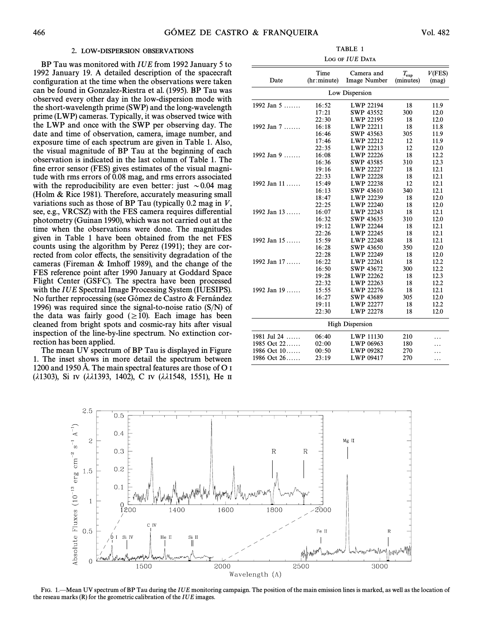## 2. LOW-DISPERSION OBSERVATIONS

BP Tau was monitored with IUE from 1992 January 5 to 1992 January 19. A detailed description of the spacecraft configuration at the time when the observations were taken can be found in Gonzalez-Riestra et al. (1995). BP Tau was observed every other day in the low-dispersion mode with the short-wavelength prime (SWP) and the long-wavelength prime (LWP) cameras. Typically, it was observed twice with the LWP and once with the SWP per observing day. The date and time of observation, camera, image number, and exposure time of each spectrum are given in Table 1. Also, the visual magnitude of BP Tau at the beginning of each observation is indicated in the last column of Table 1. The fine error sensor (FES) gives estimates of the visual magnitude with rms errors of 0.08 mag, and rms errors associated with the reproducibility are even better: just  $\sim 0.04$  mag (Holm  $\&$  Rice 1981). Therefore, accurately measuring small variations such as those of BP Tau (typically 0.2 mag in  $V$ , see, e.g., VRCSZ) with the FES camera requires differential photometry (Guinan 1990), which was not carried out at the time when the observations were done. The magnitudes given in Table 1 have been obtained from the net FES counts using the algorithm by Perez  $(1991)$ ; they are corrected from color effects, the sensitivity degradation of the cameras (Fireman  $&$  Imhoff 1989), and the change of the FES reference point after 1990 January at Goddard Space Flight Center (GSFC). The spectra have been processed with the IUE Spectral Image Processing System (IUESIPS). No further reprocessing (see Gómez de Castro  $\&$  Fernández 1996) was required since the signal-to-noise ratio (S/N) of the data was fairly good  $(\geq 10)$ . Each image has been cleaned from bright spots and cosmic-ray hits after visual inspection of the line-by-line spectrum. No extinction correction has been applied.

The mean UV spectrum of BP Tau is displayed in Figure 1. The inset shows in more detail the spectrum between 1200 and 1950 Å. The main spectral features are those of  $O<sub>I</sub>$ ( $\lambda$ 1303), Si IV ( $\lambda\lambda$ 1393, 1402), C IV ( $\lambda\lambda$ 1548, 1551), He II

TABLE 1 LOG OF IUE DATA

|                        | Time        | Camera and       | $T_{\rm exp}$ | V(FES) |
|------------------------|-------------|------------------|---------------|--------|
| Date                   | (hr:minute) | Image Number     | (minutes)     | (mag)  |
| Low Dispersion         |             |                  |               |        |
| 1992 Jan 5             | 16:52       | LWP 22194        | 18            | 11.9   |
|                        | 17:21       | <b>SWP 43552</b> | 300           | 12.0   |
|                        | 22:30       | LWP 22195        | 18            | 12.0   |
| 1992 Jan $7 \ldots$    | 16:18       | LWP 22211        | 18            | 11.8   |
|                        | 16:46       | SWP 43563        | 305           | 11.9   |
|                        | 17:46       | LWP 22212        | 12            | 11.9   |
|                        | 22:35       | LWP 22213        | 12            | 12.0   |
| 1992 Jan $9$           | 16:08       | LWP 22226        | 18            | 12.2   |
|                        | 16:36       | SWP 43585        | 310           | 12.3   |
|                        | 19:16       | LWP 22227        | 18            | 12.1   |
|                        | 22:33       | LWP 22228        | 18            | 12.1   |
| 1992 Jan 11            | 15:49       | LWP 22238        | 12            | 12.1   |
|                        | 16:13       | <b>SWP 43610</b> | 340           | 12.1   |
|                        | 18:47       | LWP 22239        | 18            | 12.0   |
|                        | 22:25       | LWP 22240        | 18            | 12.0   |
| 1992 Jan $13$          | 16:07       | LWP 22243        | 18            | 12.1   |
|                        | 16:32       | SWP 43635        | 310           | 12.0   |
|                        | 19:12       | <b>LWP 22244</b> | 18            | 12.1   |
|                        | 22:26       | LWP 22245        | 18            | 12.1   |
| 1992 Jan $15$          | 15:59       | <b>LWP 22248</b> | 18            | 12.1   |
|                        | 16:28       | <b>SWP 43650</b> | 350           | 12.0   |
|                        | 22:28       | LWP 22249        | 18            | 12.0   |
| 1992 Jan $17$          | 16:22       | LWP 22261        | 18            | 12.2   |
|                        | 16:50       | <b>SWP 43672</b> | 300           | 12.2   |
|                        | 19:28       | LWP 22262        | 18            | 12.3   |
|                        | 22:32       | LWP 22263        | 18            | 12.2   |
| 1992 Jan $19$          | 15:55       | LWP 22276        | 18            | 12.1   |
|                        | 16:27       | <b>SWP 43689</b> | 305           | 12.0   |
|                        | 19:11       | LWP 22277        | 18            | 12.2   |
|                        | 22:30       | LWP 22278        | 18            | 12.0   |
| <b>High Dispersion</b> |             |                  |               |        |
| 1981 Jul 24            | 06:40       | LWP 11130        | 210           | .      |
| 1985 Oct 22            | 02:00       | LWP 06963        | 180           |        |
| 1986 Oct 10            | 00:50       | LWP 09282        | 270           | .      |
| 1986 Oct 26            | 23:19       | LWP 09417        | 270           | .      |



FIG. 1<sup>—</sup>Mean UV spectrum of BP Tau during the *IUE* monitoring campaign. The position of the main emission lines is marked, as well as the location of the reseau marks  $(R)$  for the geometric calibration of the  $IUE$  images.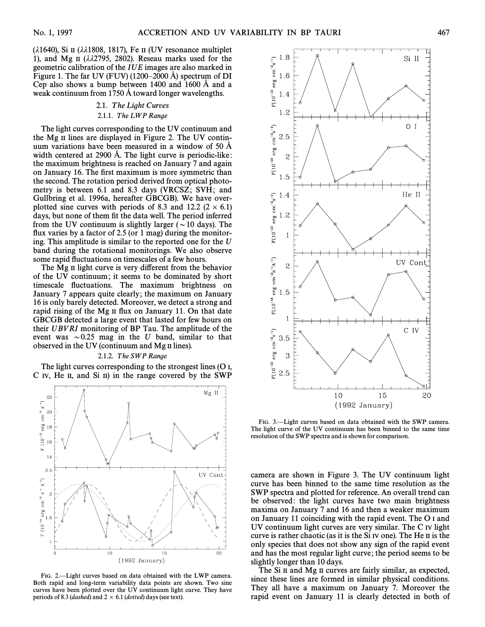( $\lambda$ 1640), Si II ( $\lambda\lambda$ 1808, 1817), Fe II (UV resonance multiplet 1), and Mg  $\pi$  ( $\lambda\lambda$ 2795, 2802). Reseau marks used for the geometric calibration of the IUE images are also marked in Figure 1. The far UV (FUV) (1200–2000 Å) spectrum of DI Cep also shows a bump between  $1400$  and  $1600$  Å and a weak continuum from  $1750 \text{ Å}$  toward longer wavelengths.

# 2.1. The Light Curves 2.1.1. The LWP Range

The light curves corresponding to the UV continuum and the Mg  $\pi$  lines are displayed in Figure 2. The UV continuum variations have been measured in a window of  $50 \text{ Å}$ width centered at  $2900$  Å. The light curve is periodic-like: the maximum brightness is reached on January 7 and again on January 16. The first maximum is more symmetric than the second. The rotation period derived from optical photometry is between 6.1 and 8.3 days (VRCSZ; SVH; and Gullbring et al. 1996a, hereafter GBCGB). We have overplotted sine curves with periods of 8.3 and 12.2 ( $2 \times 6.1$ ) days, but none of them fit the data well. The period inferred from the UV continuum is slightly larger ( $\sim$  10 days). The flux varies by a factor of 2.5 (or 1 mag) during the monitoring. This amplitude is similar to the reported one for the U band during the rotational monitorings. We also observe some rapid fluctuations on timescales of a few hours.

The  $\tilde{M}$ g  $\tilde{\mu}$  light curve is very different from the behavior of the UV continuum; it seems to be dominated by short timescale fluctuations. The maximum brightness on January 7 appears quite clearly; the maximum on January 16 is only barely detected. Moreover, we detect a strong and rapid rising of the Mg II flux on January 11. On that date GBCGB detected a large event that lasted for few hours on their UBV RI monitoring of BP Tau. The amplitude of the event was  $\sim 0.25$  mag in the U band, similar to that observed in the UV (continuum and Mg II lines).

## 2.1.2. The SWP Range

The light curves corresponding to the strongest lines (O I, C IV, He II, and Si II) in the range covered by the SWP



FIG. 2.-Light curves based on data obtained with the LWP camera. Both rapid and long-term variability data points are shown. Two sine curves have been plotted over the UV continuum light curve. They have periods of 8.3 (dashed) and  $2 \times 6.1$  (dotted) days (see text).



FIG. 3.-Light curves based on data obtained with the SWP camera. The light curve of the UV continuum has been binned to the same time resolution of the SWP spectra and is shown for comparison.

camera are shown in Figure 3. The UV continuum light curve has been binned to the same time resolution as the SWP spectra and plotted for reference. An overall trend can be observed: the light curves have two main brightness maxima on January 7 and 16 and then a weaker maximum on January 11 coinciding with the rapid event. The O I and UV continuum light curves are very similar. The C IV light curve is rather chaotic (as it is the Si IV one). The He II is the only species that does not show any sign of the rapid event and has the most regular light curve; the period seems to be slightly longer than 10 days.

The Si II and Mg II curves are fairly similar, as expected, since these lines are formed in similar physical conditions. They all have a maximum on January 7. Moreover the rapid event on January 11 is clearly detected in both of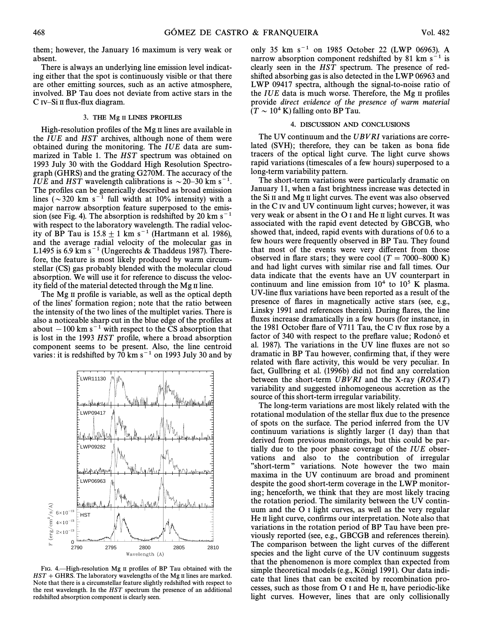them; however, the January 16 maximum is very weak or absent.

There is always an underlying line emission level indicating either that the spot is continuously visible or that there are other emitting sources, such as an active atmosphere, involved. BP Tau does not deviate from active stars in the  $C$  IV-Si II flux-flux diagram.

## 3. THE Mg II LINES PROFILES

High-resolution profiles of the Mg  $\scriptstyle\rm II$  lines are available in the IUE and HST archives, although none of them were obtained during the monitoring. The IUE data are summarized in Table 1. The  $HST$  spectrum was obtained on 1993 July 30 with the Goddard High Resolution Spectrograph (GHRS) and the grating G270M. The accuracy of the IUE and HST wavelength calibrations is  $\sim$  20–30 km s<sup>-1</sup>. The profiles can be generically described as broad emission lines ( $\sim$ 320 km s<sup>-1</sup> full width at 10% intensity) with a major narrow absorption feature superposed to the emission (see Fig. 4). The absorption is redshifted by 20 km  $s^{-1}$ with respect to the laboratory wavelength. The radial velocity of BP Tau is  $15.8 \pm 1 \text{ km s}^{-1}$  (Hartmann et al. 1986), and the average radial velocity of the molecular gas in L1495 is 6.9 km s<sup> $-1$ </sup> (Ungerechts & Thaddeus 1987). Therefore, the feature is most likely produced by warm circumstellar (CS) gas probably blended with the molecular cloud absorption. We will use it for reference to discuss the velocity field of the material detected through the Mg II line.

The Mg II profile is variable, as well as the optical depth of the lines' formation region; note that the ratio between the intensity of the two lines of the multiplet varies. There is also a noticeable sharp cut in the blue edge of the profiles at about  $-100$  km s<sup> $-1$ </sup> with respect to the CS absorption that is lost in the 1993 HST profile, where a broad absorption component seems to be present. Also, the line centroid varies: it is redshifted by  $70 \text{ km s}^{-1}$  on 1993 July 30 and by



FIG. 4.—High-resolution Mg II profiles of BP Tau obtained with the  $HST + GHRS$ . The laboratory wavelengths of the Mg II lines are marked. Note that there is a circumstellar feature slightly redshifted with respect to the rest wavelength. In the HST spectrum the presence of an additional redshifted absorption component is clearly seen.

only 35 km  $s^{-1}$  on 1985 October 22 (LWP 06963). A narrow absorption component redshifted by 81 km  $s^{-1}$  is clearly seen in the HST spectrum. The presence of redshifted absorbing gas is also detected in the LWP 06963 and LWP 09417 spectra, although the signal-to-noise ratio of the  $IUE$  data is much worse. Therefore, the Mg II profiles provide direct evidence of the presence of warm material  $(T \sim 10^4 \text{ K})$  falling onto BP Tau.

#### 4. DISCUSSION AND CONCLUSIONS

The UV continuum and the UBVRI variations are correlated  $(SVH)$ ; therefore, they can be taken as bona fide tracers of the optical light curve. The light curve shows rapid variations (timescales of a few hours) superposed to a long-term variability pattern.

The short-term variations were particularly dramatic on January 11, when a fast brightness increase was detected in the Si II and Mg II light curves. The event was also observed in the C IV and UV continuum light curves; however, it was very weak or absent in the  $O<sub>I</sub>$  and He II light curves. It was associated with the rapid event detected by GBCGB, who showed that, indeed, rapid events with durations of 0.6 to a few hours were frequently observed in BP Tau. They found that most of the events were very different from those observed in flare stars; they were cool ( $T = 7000-8000 \text{ K}$ ) and had light curves with similar rise and fall times. Our data indicate that the events have an UV counterpart in continuum and line emission from  $10^4$  to  $10^5$  K plasma. UV-line Ñux variations have been reported as a result of the presence of Ñares in magnetically active stars (see, e.g., Linsky 1991 and references therein). During Ñares, the line fluxes increase dramatically in a few hours (for instance, in the 1981 October Ñare of V711 Tau, the C IV Ñux rose by a factor of 340 with respect to the preflare value; Rodonó et al. 1987). The variations in the UV line fluxes are not so dramatic in BP Tau however, confirming that, if they were related with flare activity, this would be very peculiar. In fact, Gullbring et al. (1996b) did not find any correlation between the short-term  $UBVRI$  and the X-ray ( $ROSAT$ ) variability and suggested inhomogeneous accretion as the source of this short-term irregular variability.

The long-term variations are most likely related with the rotational modulation of the stellar flux due to the presence of spots on the surface. The period inferred from the UV continuum variations is slightly larger (1 day) than that derived from previous monitorings, but this could be partially due to the poor phase coverage of the IUE observations and also to the contribution of irregular "short-term" variations. Note however the two main maxima in the UV continuum are broad and prominent despite the good short-term coverage in the LWP monitoring; henceforth, we think that they are most likely tracing the rotation period. The similarity between the UV continuum and the O I light curves, as well as the very regular He II light curve, confirms our interpretation. Note also that variations in the rotation period of BP Tau have been previously reported (see, e.g., GBCGB and references therein). The comparison between the light curves of the different species and the light curve of the UV continuum suggests that the phenomenon is more complex than expected from simple theoretical models (e.g., Königl 1991). Our data indicate that lines that can be excited by recombination processes, such as those from O I and He II, have periodic-like light curves. However, lines that are only collisionally